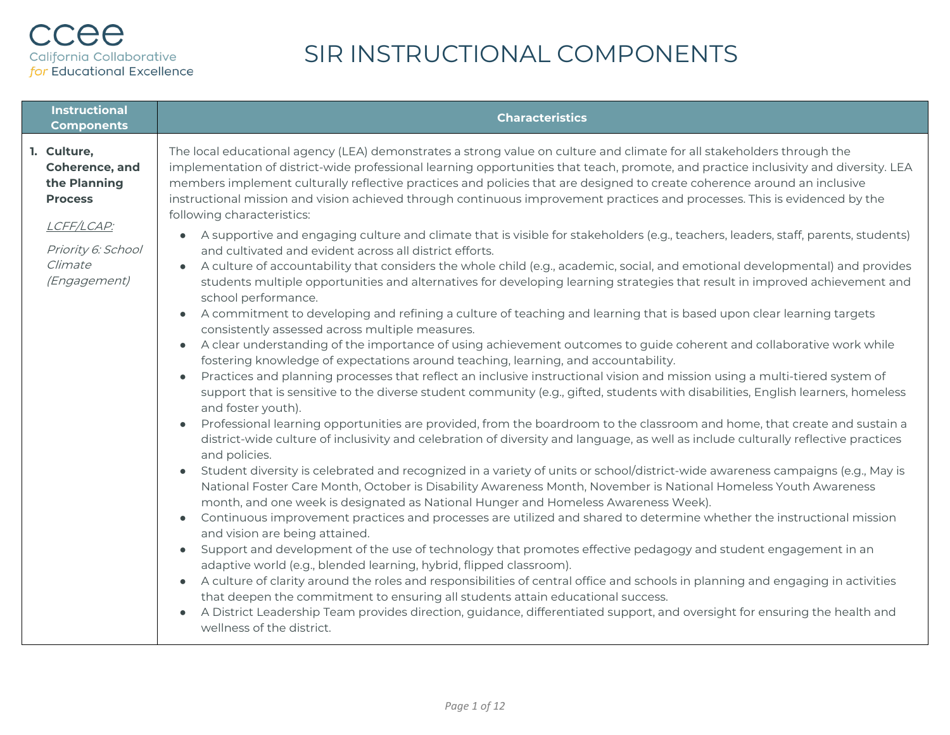| <b>Instructional</b><br><b>Components</b>                                                                                      | <b>Characteristics</b>                                                                                                                                                                                                                                                                                                                                                                                                                                                                                                                                                                                                                                                                                                                                                                                                                                                                                                                                                                                                                                                                                                                                                                                                                                                                                                                                                                                                                                                                                                                                                                                                                                                                                                                                                                                                                                                                                                                                                                                                                                                                                                                                                                                                                                                                                                                                                                                                                                                                                                                                                                                                                                                                                                                                                                                                                                                                                                                                                                                                                                                                                                           |
|--------------------------------------------------------------------------------------------------------------------------------|----------------------------------------------------------------------------------------------------------------------------------------------------------------------------------------------------------------------------------------------------------------------------------------------------------------------------------------------------------------------------------------------------------------------------------------------------------------------------------------------------------------------------------------------------------------------------------------------------------------------------------------------------------------------------------------------------------------------------------------------------------------------------------------------------------------------------------------------------------------------------------------------------------------------------------------------------------------------------------------------------------------------------------------------------------------------------------------------------------------------------------------------------------------------------------------------------------------------------------------------------------------------------------------------------------------------------------------------------------------------------------------------------------------------------------------------------------------------------------------------------------------------------------------------------------------------------------------------------------------------------------------------------------------------------------------------------------------------------------------------------------------------------------------------------------------------------------------------------------------------------------------------------------------------------------------------------------------------------------------------------------------------------------------------------------------------------------------------------------------------------------------------------------------------------------------------------------------------------------------------------------------------------------------------------------------------------------------------------------------------------------------------------------------------------------------------------------------------------------------------------------------------------------------------------------------------------------------------------------------------------------------------------------------------------------------------------------------------------------------------------------------------------------------------------------------------------------------------------------------------------------------------------------------------------------------------------------------------------------------------------------------------------------------------------------------------------------------------------------------------------------|
| 1. Culture,<br>Coherence, and<br>the Planning<br><b>Process</b><br>LCFF/LCAP:<br>Priority 6: School<br>Climate<br>(Engagement) | The local educational agency (LEA) demonstrates a strong value on culture and climate for all stakeholders through the<br>implementation of district-wide professional learning opportunities that teach, promote, and practice inclusivity and diversity. LEA<br>members implement culturally reflective practices and policies that are designed to create coherence around an inclusive<br>instructional mission and vision achieved through continuous improvement practices and processes. This is evidenced by the<br>following characteristics:<br>A supportive and engaging culture and climate that is visible for stakeholders (e.g., teachers, leaders, staff, parents, students)<br>and cultivated and evident across all district efforts.<br>A culture of accountability that considers the whole child (e.g., academic, social, and emotional developmental) and provides<br>students multiple opportunities and alternatives for developing learning strategies that result in improved achievement and<br>school performance.<br>A commitment to developing and refining a culture of teaching and learning that is based upon clear learning targets<br>consistently assessed across multiple measures.<br>A clear understanding of the importance of using achievement outcomes to guide coherent and collaborative work while<br>fostering knowledge of expectations around teaching, learning, and accountability.<br>Practices and planning processes that reflect an inclusive instructional vision and mission using a multi-tiered system of<br>support that is sensitive to the diverse student community (e.g., gifted, students with disabilities, English learners, homeless<br>and foster youth).<br>Professional learning opportunities are provided, from the boardroom to the classroom and home, that create and sustain a<br>district-wide culture of inclusivity and celebration of diversity and language, as well as include culturally reflective practices<br>and policies.<br>Student diversity is celebrated and recognized in a variety of units or school/district-wide awareness campaigns (e.g., May is<br>National Foster Care Month, October is Disability Awareness Month, November is National Homeless Youth Awareness<br>month, and one week is designated as National Hunger and Homeless Awareness Week).<br>Continuous improvement practices and processes are utilized and shared to determine whether the instructional mission<br>$\bullet$<br>and vision are being attained.<br>Support and development of the use of technology that promotes effective pedagogy and student engagement in an<br>$\bullet$<br>adaptive world (e.g., blended learning, hybrid, flipped classroom).<br>• A culture of clarity around the roles and responsibilities of central office and schools in planning and engaging in activities<br>that deepen the commitment to ensuring all students attain educational success.<br>A District Leadership Team provides direction, guidance, differentiated support, and oversight for ensuring the health and<br>wellness of the district. |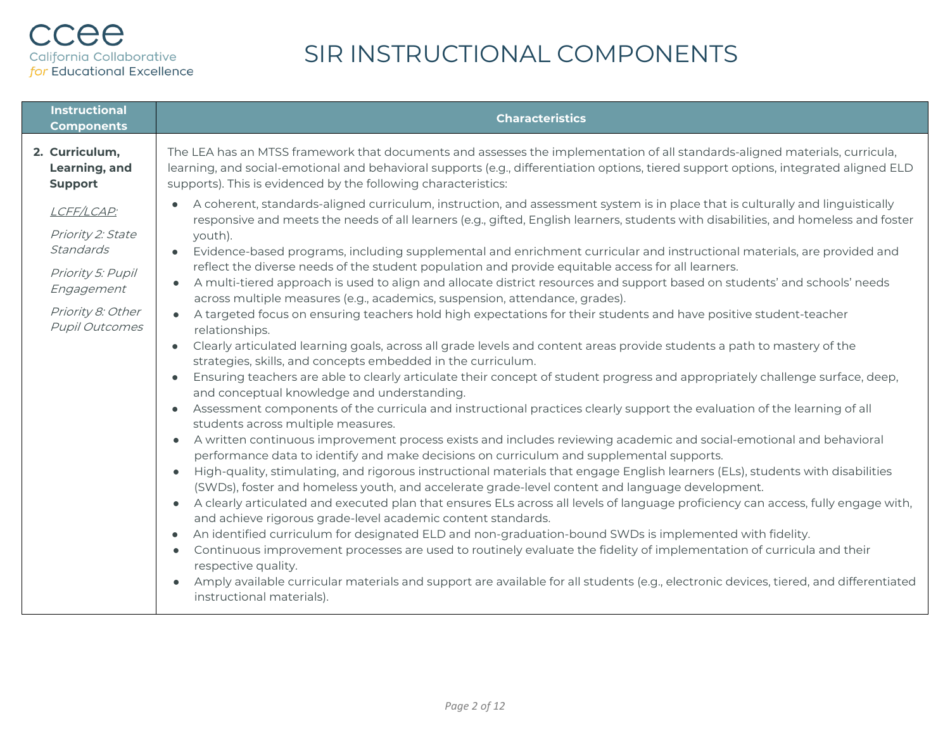| <b>Instructional</b><br><b>Components</b>                                                                                     | <b>Characteristics</b>                                                                                                                                                                                                                                                                                                                                                                                                                                                                                                                                                                                                                                                                                                                                                                                                                                                                                                                                                                                                                                                                                                                                                                                                                                                                                                                                                                                                                                                                                                                                                                                                                                                                                                                                                                                                                                                                                                                                                                                                                                                                                                                                                                                                                                                                                                                                                                                                                                                                                                                                                                                                   |
|-------------------------------------------------------------------------------------------------------------------------------|--------------------------------------------------------------------------------------------------------------------------------------------------------------------------------------------------------------------------------------------------------------------------------------------------------------------------------------------------------------------------------------------------------------------------------------------------------------------------------------------------------------------------------------------------------------------------------------------------------------------------------------------------------------------------------------------------------------------------------------------------------------------------------------------------------------------------------------------------------------------------------------------------------------------------------------------------------------------------------------------------------------------------------------------------------------------------------------------------------------------------------------------------------------------------------------------------------------------------------------------------------------------------------------------------------------------------------------------------------------------------------------------------------------------------------------------------------------------------------------------------------------------------------------------------------------------------------------------------------------------------------------------------------------------------------------------------------------------------------------------------------------------------------------------------------------------------------------------------------------------------------------------------------------------------------------------------------------------------------------------------------------------------------------------------------------------------------------------------------------------------------------------------------------------------------------------------------------------------------------------------------------------------------------------------------------------------------------------------------------------------------------------------------------------------------------------------------------------------------------------------------------------------------------------------------------------------------------------------------------------------|
| 2. Curriculum,<br>Learning, and<br><b>Support</b>                                                                             | The LEA has an MTSS framework that documents and assesses the implementation of all standards-aligned materials, curricula,<br>learning, and social-emotional and behavioral supports (e.g., differentiation options, tiered support options, integrated aligned ELD<br>supports). This is evidenced by the following characteristics:                                                                                                                                                                                                                                                                                                                                                                                                                                                                                                                                                                                                                                                                                                                                                                                                                                                                                                                                                                                                                                                                                                                                                                                                                                                                                                                                                                                                                                                                                                                                                                                                                                                                                                                                                                                                                                                                                                                                                                                                                                                                                                                                                                                                                                                                                   |
| LCFF/LCAP:<br>Priority 2: State<br>Standards<br>Priority 5: Pupil<br>Engagement<br>Priority 8: Other<br><b>Pupil Outcomes</b> | A coherent, standards-aligned curriculum, instruction, and assessment system is in place that is culturally and linguistically<br>responsive and meets the needs of all learners (e.g., gifted, English learners, students with disabilities, and homeless and foster<br>youth).<br>Evidence-based programs, including supplemental and enrichment curricular and instructional materials, are provided and<br>reflect the diverse needs of the student population and provide equitable access for all learners.<br>A multi-tiered approach is used to align and allocate district resources and support based on students' and schools' needs<br>across multiple measures (e.g., academics, suspension, attendance, grades).<br>A targeted focus on ensuring teachers hold high expectations for their students and have positive student-teacher<br>relationships.<br>Clearly articulated learning goals, across all grade levels and content areas provide students a path to mastery of the<br>$\bullet$<br>strategies, skills, and concepts embedded in the curriculum.<br>Ensuring teachers are able to clearly articulate their concept of student progress and appropriately challenge surface, deep,<br>and conceptual knowledge and understanding.<br>Assessment components of the curricula and instructional practices clearly support the evaluation of the learning of all<br>$\bullet$<br>students across multiple measures.<br>A written continuous improvement process exists and includes reviewing academic and social-emotional and behavioral<br>$\bullet$<br>performance data to identify and make decisions on curriculum and supplemental supports.<br>High-quality, stimulating, and rigorous instructional materials that engage English learners (ELs), students with disabilities<br>$\bullet$<br>(SWDs), foster and homeless youth, and accelerate grade-level content and language development.<br>A clearly articulated and executed plan that ensures ELs across all levels of language proficiency can access, fully engage with,<br>$\bullet$<br>and achieve rigorous grade-level academic content standards.<br>An identified curriculum for designated ELD and non-graduation-bound SWDs is implemented with fidelity.<br>$\bullet$<br>Continuous improvement processes are used to routinely evaluate the fidelity of implementation of curricula and their<br>$\bullet$<br>respective quality.<br>Amply available curricular materials and support are available for all students (e.g., electronic devices, tiered, and differentiated<br>$\bullet$<br>instructional materials). |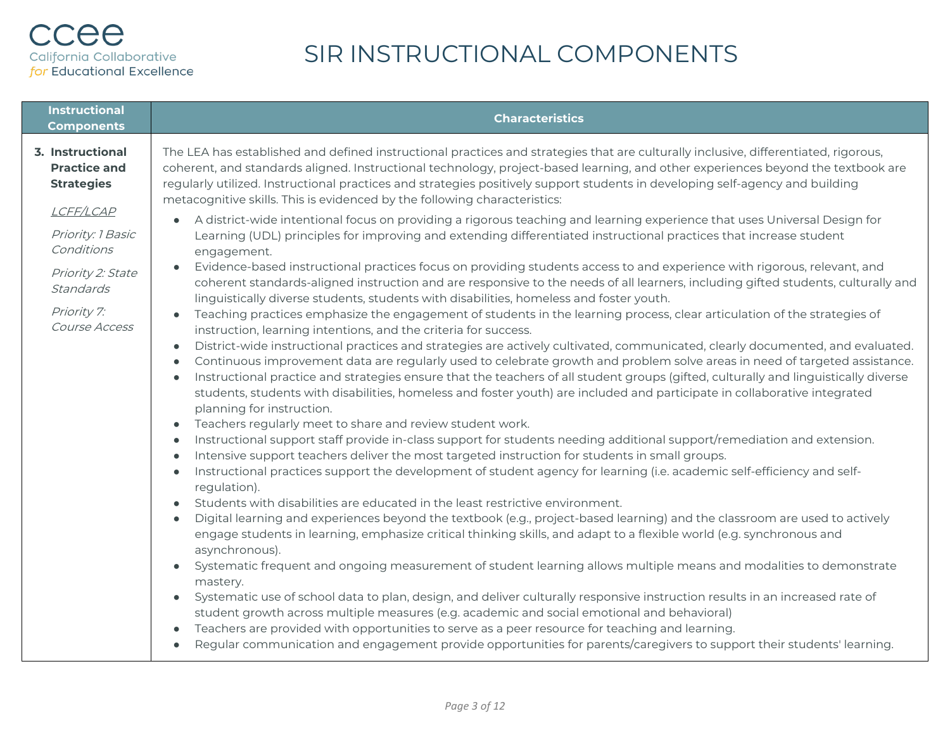| <b>Instructional</b><br><b>Components</b>                                                                                                                                      | <b>Characteristics</b>                                                                                                                                                                                                                                                                                                                                                                                                                                                                                                                                                                                                                                                                                                                                                                                                                                                                                                                                                                                                                                                                                                                                                                                                                                                                                                                                                                                                                                                                                                                                                                                                                                                                                                                                                                                                                                                                                                                                                                                                                                                                                                                                                                                                                                                                                                                                                                                                                                                                                                                                                                                                                                                                                                                                                                                                                                                                                                                                                                                                                                                                                                                                                                                                                                                                                                                                                                                                                                                                           |
|--------------------------------------------------------------------------------------------------------------------------------------------------------------------------------|--------------------------------------------------------------------------------------------------------------------------------------------------------------------------------------------------------------------------------------------------------------------------------------------------------------------------------------------------------------------------------------------------------------------------------------------------------------------------------------------------------------------------------------------------------------------------------------------------------------------------------------------------------------------------------------------------------------------------------------------------------------------------------------------------------------------------------------------------------------------------------------------------------------------------------------------------------------------------------------------------------------------------------------------------------------------------------------------------------------------------------------------------------------------------------------------------------------------------------------------------------------------------------------------------------------------------------------------------------------------------------------------------------------------------------------------------------------------------------------------------------------------------------------------------------------------------------------------------------------------------------------------------------------------------------------------------------------------------------------------------------------------------------------------------------------------------------------------------------------------------------------------------------------------------------------------------------------------------------------------------------------------------------------------------------------------------------------------------------------------------------------------------------------------------------------------------------------------------------------------------------------------------------------------------------------------------------------------------------------------------------------------------------------------------------------------------------------------------------------------------------------------------------------------------------------------------------------------------------------------------------------------------------------------------------------------------------------------------------------------------------------------------------------------------------------------------------------------------------------------------------------------------------------------------------------------------------------------------------------------------------------------------------------------------------------------------------------------------------------------------------------------------------------------------------------------------------------------------------------------------------------------------------------------------------------------------------------------------------------------------------------------------------------------------------------------------------------------------------------------------|
| 3. Instructional<br><b>Practice and</b><br><b>Strategies</b><br>LCFF/LCAP<br>Priority: 1 Basic<br>Conditions<br>Priority 2: State<br>Standards<br>Priority 7:<br>Course Access | The LEA has established and defined instructional practices and strategies that are culturally inclusive, differentiated, rigorous,<br>coherent, and standards aligned. Instructional technology, project-based learning, and other experiences beyond the textbook are<br>regularly utilized. Instructional practices and strategies positively support students in developing self-agency and building<br>metacognitive skills. This is evidenced by the following characteristics:<br>A district-wide intentional focus on providing a rigorous teaching and learning experience that uses Universal Design for<br>$\bullet$<br>Learning (UDL) principles for improving and extending differentiated instructional practices that increase student<br>engagement.<br>Evidence-based instructional practices focus on providing students access to and experience with rigorous, relevant, and<br>$\bullet$<br>coherent standards-aligned instruction and are responsive to the needs of all learners, including gifted students, culturally and<br>linguistically diverse students, students with disabilities, homeless and foster youth.<br>Teaching practices emphasize the engagement of students in the learning process, clear articulation of the strategies of<br>$\bullet$<br>instruction, learning intentions, and the criteria for success.<br>District-wide instructional practices and strategies are actively cultivated, communicated, clearly documented, and evaluated.<br>$\bullet$<br>Continuous improvement data are regularly used to celebrate growth and problem solve areas in need of targeted assistance.<br>$\bullet$<br>Instructional practice and strategies ensure that the teachers of all student groups (gifted, culturally and linguistically diverse<br>$\bullet$<br>students, students with disabilities, homeless and foster youth) are included and participate in collaborative integrated<br>planning for instruction.<br>Teachers regularly meet to share and review student work.<br>$\bullet$<br>Instructional support staff provide in-class support for students needing additional support/remediation and extension.<br>$\bullet$<br>Intensive support teachers deliver the most targeted instruction for students in small groups.<br>$\bullet$<br>Instructional practices support the development of student agency for learning (i.e. academic self-efficiency and self-<br>$\bullet$<br>regulation).<br>Students with disabilities are educated in the least restrictive environment.<br>$\bullet$<br>Digital learning and experiences beyond the textbook (e.g., project-based learning) and the classroom are used to actively<br>$\bullet$<br>engage students in learning, emphasize critical thinking skills, and adapt to a flexible world (e.g. synchronous and<br>asynchronous).<br>Systematic frequent and ongoing measurement of student learning allows multiple means and modalities to demonstrate<br>$\bullet$<br>mastery.<br>Systematic use of school data to plan, design, and deliver culturally responsive instruction results in an increased rate of<br>$\bullet$<br>student growth across multiple measures (e.g. academic and social emotional and behavioral)<br>Teachers are provided with opportunities to serve as a peer resource for teaching and learning.<br>$\bullet$<br>Regular communication and engagement provide opportunities for parents/caregivers to support their students' learning.<br>$\bullet$ |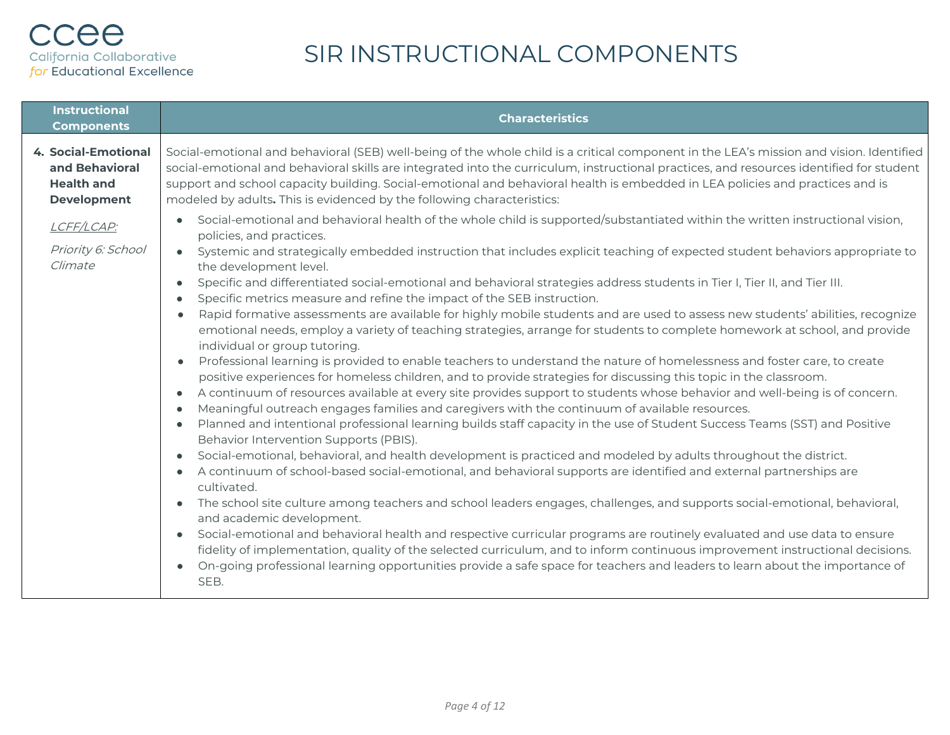| <b>Instructional</b><br><b>Components</b>                                                                                                                                                                                         | <b>Characteristics</b>                                                                                                                                                                                                                                                                                                                                                                                                                                                                                                                                                                                                                                                                                                                                                                                                                                                                                                                                                                                                                                                                                                                                                                                                                                                                                                                                                                                                                                                                                                                                                                                                                                                                                                                                                                                                                                                                                                                                                                                                                                                                                                                                                                                                                                                                                      |
|-----------------------------------------------------------------------------------------------------------------------------------------------------------------------------------------------------------------------------------|-------------------------------------------------------------------------------------------------------------------------------------------------------------------------------------------------------------------------------------------------------------------------------------------------------------------------------------------------------------------------------------------------------------------------------------------------------------------------------------------------------------------------------------------------------------------------------------------------------------------------------------------------------------------------------------------------------------------------------------------------------------------------------------------------------------------------------------------------------------------------------------------------------------------------------------------------------------------------------------------------------------------------------------------------------------------------------------------------------------------------------------------------------------------------------------------------------------------------------------------------------------------------------------------------------------------------------------------------------------------------------------------------------------------------------------------------------------------------------------------------------------------------------------------------------------------------------------------------------------------------------------------------------------------------------------------------------------------------------------------------------------------------------------------------------------------------------------------------------------------------------------------------------------------------------------------------------------------------------------------------------------------------------------------------------------------------------------------------------------------------------------------------------------------------------------------------------------------------------------------------------------------------------------------------------------|
| 4. Social-Emotional<br>and Behavioral<br><b>Health and</b><br><b>Development</b>                                                                                                                                                  | Social-emotional and behavioral (SEB) well-being of the whole child is a critical component in the LEA's mission and vision. Identified<br>social-emotional and behavioral skills are integrated into the curriculum, instructional practices, and resources identified for student<br>support and school capacity building. Social-emotional and behavioral health is embedded in LEA policies and practices and is<br>modeled by adults. This is evidenced by the following characteristics:                                                                                                                                                                                                                                                                                                                                                                                                                                                                                                                                                                                                                                                                                                                                                                                                                                                                                                                                                                                                                                                                                                                                                                                                                                                                                                                                                                                                                                                                                                                                                                                                                                                                                                                                                                                                              |
| $\bullet$<br>LCFF/LCAP:<br>Priority 6: School<br>$\bullet$<br>Climate<br>$\bullet$<br>$\bullet$<br>$\bullet$<br>$\bullet$<br>$\bullet$<br>$\bullet$<br>$\bullet$<br>$\bullet$<br>$\bullet$<br>$\bullet$<br>$\bullet$<br>$\bullet$ | Social-emotional and behavioral health of the whole child is supported/substantiated within the written instructional vision,<br>policies, and practices.<br>Systemic and strategically embedded instruction that includes explicit teaching of expected student behaviors appropriate to<br>the development level.<br>Specific and differentiated social-emotional and behavioral strategies address students in Tier I, Tier II, and Tier III.<br>Specific metrics measure and refine the impact of the SEB instruction.<br>Rapid formative assessments are available for highly mobile students and are used to assess new students' abilities, recognize<br>emotional needs, employ a variety of teaching strategies, arrange for students to complete homework at school, and provide<br>individual or group tutoring.<br>Professional learning is provided to enable teachers to understand the nature of homelessness and foster care, to create<br>positive experiences for homeless children, and to provide strategies for discussing this topic in the classroom.<br>A continuum of resources available at every site provides support to students whose behavior and well-being is of concern.<br>Meaningful outreach engages families and caregivers with the continuum of available resources.<br>Planned and intentional professional learning builds staff capacity in the use of Student Success Teams (SST) and Positive<br>Behavior Intervention Supports (PBIS).<br>Social-emotional, behavioral, and health development is practiced and modeled by adults throughout the district.<br>A continuum of school-based social-emotional, and behavioral supports are identified and external partnerships are<br>cultivated.<br>The school site culture among teachers and school leaders engages, challenges, and supports social-emotional, behavioral,<br>and academic development.<br>Social-emotional and behavioral health and respective curricular programs are routinely evaluated and use data to ensure<br>fidelity of implementation, quality of the selected curriculum, and to inform continuous improvement instructional decisions.<br>On-going professional learning opportunities provide a safe space for teachers and leaders to learn about the importance of<br>SEB. |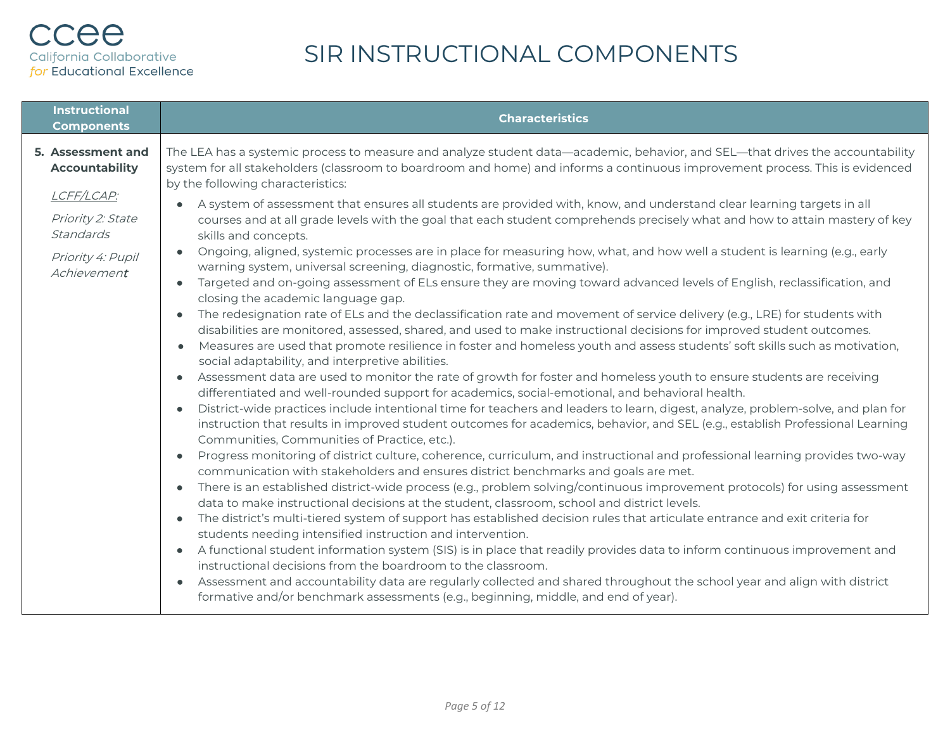| <b>Instructional</b><br><b>Components</b>                                        | <b>Characteristics</b>                                                                                                                                                                                                                                                                                                                                                                                                                                                                                                                                                                                                                                                                                                                                                                                                                                                                                                                                                                                                                                                                                                                                                                                                                                                                                                                                                                                                                                                                                                                                                                                                                                                                                                                                                                                                                                                                                                                                                                                                                                                                                                                                                                                                                                                                                                                                                                                                                                                                                                                                                                                                                                                                                                                                                                                                                             |
|----------------------------------------------------------------------------------|----------------------------------------------------------------------------------------------------------------------------------------------------------------------------------------------------------------------------------------------------------------------------------------------------------------------------------------------------------------------------------------------------------------------------------------------------------------------------------------------------------------------------------------------------------------------------------------------------------------------------------------------------------------------------------------------------------------------------------------------------------------------------------------------------------------------------------------------------------------------------------------------------------------------------------------------------------------------------------------------------------------------------------------------------------------------------------------------------------------------------------------------------------------------------------------------------------------------------------------------------------------------------------------------------------------------------------------------------------------------------------------------------------------------------------------------------------------------------------------------------------------------------------------------------------------------------------------------------------------------------------------------------------------------------------------------------------------------------------------------------------------------------------------------------------------------------------------------------------------------------------------------------------------------------------------------------------------------------------------------------------------------------------------------------------------------------------------------------------------------------------------------------------------------------------------------------------------------------------------------------------------------------------------------------------------------------------------------------------------------------------------------------------------------------------------------------------------------------------------------------------------------------------------------------------------------------------------------------------------------------------------------------------------------------------------------------------------------------------------------------------------------------------------------------------------------------------------------------|
| 5. Assessment and<br><b>Accountability</b>                                       | The LEA has a systemic process to measure and analyze student data—academic, behavior, and SEL—that drives the accountability<br>system for all stakeholders (classroom to boardroom and home) and informs a continuous improvement process. This is evidenced                                                                                                                                                                                                                                                                                                                                                                                                                                                                                                                                                                                                                                                                                                                                                                                                                                                                                                                                                                                                                                                                                                                                                                                                                                                                                                                                                                                                                                                                                                                                                                                                                                                                                                                                                                                                                                                                                                                                                                                                                                                                                                                                                                                                                                                                                                                                                                                                                                                                                                                                                                                     |
| LCFF/LCAP:<br>Priority 2: State<br>Standards<br>Priority 4: Pupil<br>Achievement | by the following characteristics:<br>A system of assessment that ensures all students are provided with, know, and understand clear learning targets in all<br>courses and at all grade levels with the goal that each student comprehends precisely what and how to attain mastery of key<br>skills and concepts.<br>Ongoing, aligned, systemic processes are in place for measuring how, what, and how well a student is learning (e.g., early<br>warning system, universal screening, diagnostic, formative, summative).<br>Targeted and on-going assessment of ELs ensure they are moving toward advanced levels of English, reclassification, and<br>$\bullet$<br>closing the academic language gap.<br>The redesignation rate of ELs and the declassification rate and movement of service delivery (e.g., LRE) for students with<br>disabilities are monitored, assessed, shared, and used to make instructional decisions for improved student outcomes.<br>Measures are used that promote resilience in foster and homeless youth and assess students' soft skills such as motivation,<br>$\bullet$<br>social adaptability, and interpretive abilities.<br>Assessment data are used to monitor the rate of growth for foster and homeless youth to ensure students are receiving<br>differentiated and well-rounded support for academics, social-emotional, and behavioral health.<br>District-wide practices include intentional time for teachers and leaders to learn, digest, analyze, problem-solve, and plan for<br>$\bullet$<br>instruction that results in improved student outcomes for academics, behavior, and SEL (e.g., establish Professional Learning<br>Communities, Communities of Practice, etc.).<br>Progress monitoring of district culture, coherence, curriculum, and instructional and professional learning provides two-way<br>communication with stakeholders and ensures district benchmarks and goals are met.<br>There is an established district-wide process (e.g., problem solving/continuous improvement protocols) for using assessment<br>$\bullet$<br>data to make instructional decisions at the student, classroom, school and district levels.<br>The district's multi-tiered system of support has established decision rules that articulate entrance and exit criteria for<br>$\bullet$<br>students needing intensified instruction and intervention.<br>A functional student information system (SIS) is in place that readily provides data to inform continuous improvement and<br>$\bullet$<br>instructional decisions from the boardroom to the classroom.<br>Assessment and accountability data are regularly collected and shared throughout the school year and align with district<br>$\bullet$<br>formative and/or benchmark assessments (e.g., beginning, middle, and end of year). |
|                                                                                  |                                                                                                                                                                                                                                                                                                                                                                                                                                                                                                                                                                                                                                                                                                                                                                                                                                                                                                                                                                                                                                                                                                                                                                                                                                                                                                                                                                                                                                                                                                                                                                                                                                                                                                                                                                                                                                                                                                                                                                                                                                                                                                                                                                                                                                                                                                                                                                                                                                                                                                                                                                                                                                                                                                                                                                                                                                                    |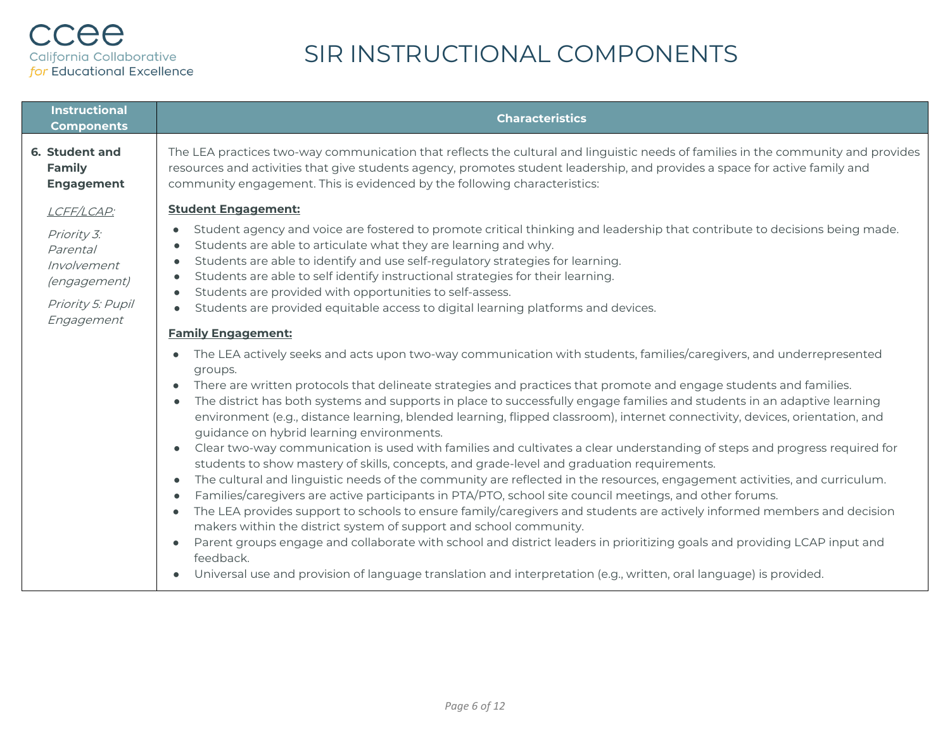| <b>Instructional</b><br><b>Components</b>                                                 | <b>Characteristics</b>                                                                                                                                                                                                                                                                                                                                                                                                                                                                                                                                                                                                                                                                                                                                                                                                                                                                                                                                                                                                                                                                                                                                                                                                                                                                                                                                                                                                                                                                                                                                                                      |
|-------------------------------------------------------------------------------------------|---------------------------------------------------------------------------------------------------------------------------------------------------------------------------------------------------------------------------------------------------------------------------------------------------------------------------------------------------------------------------------------------------------------------------------------------------------------------------------------------------------------------------------------------------------------------------------------------------------------------------------------------------------------------------------------------------------------------------------------------------------------------------------------------------------------------------------------------------------------------------------------------------------------------------------------------------------------------------------------------------------------------------------------------------------------------------------------------------------------------------------------------------------------------------------------------------------------------------------------------------------------------------------------------------------------------------------------------------------------------------------------------------------------------------------------------------------------------------------------------------------------------------------------------------------------------------------------------|
| 6. Student and<br>Family<br><b>Engagement</b>                                             | The LEA practices two-way communication that reflects the cultural and linguistic needs of families in the community and provides<br>resources and activities that give students agency, promotes student leadership, and provides a space for active family and<br>community engagement. This is evidenced by the following characteristics:                                                                                                                                                                                                                                                                                                                                                                                                                                                                                                                                                                                                                                                                                                                                                                                                                                                                                                                                                                                                                                                                                                                                                                                                                                               |
| LCFF/LCAP:                                                                                | <b>Student Engagement:</b>                                                                                                                                                                                                                                                                                                                                                                                                                                                                                                                                                                                                                                                                                                                                                                                                                                                                                                                                                                                                                                                                                                                                                                                                                                                                                                                                                                                                                                                                                                                                                                  |
| Priority 3:<br>Parental<br>Involvement<br>(engagement)<br>Priority 5: Pupil<br>Engagement | Student agency and voice are fostered to promote critical thinking and leadership that contribute to decisions being made.<br>$\bullet$<br>Students are able to articulate what they are learning and why.<br>Students are able to identify and use self-regulatory strategies for learning.<br>$\bullet$<br>Students are able to self identify instructional strategies for their learning.<br>$\bullet$<br>Students are provided with opportunities to self-assess.<br>$\bullet$<br>Students are provided equitable access to digital learning platforms and devices.<br>$\bullet$                                                                                                                                                                                                                                                                                                                                                                                                                                                                                                                                                                                                                                                                                                                                                                                                                                                                                                                                                                                                        |
|                                                                                           | <b>Family Engagement:</b>                                                                                                                                                                                                                                                                                                                                                                                                                                                                                                                                                                                                                                                                                                                                                                                                                                                                                                                                                                                                                                                                                                                                                                                                                                                                                                                                                                                                                                                                                                                                                                   |
|                                                                                           | The LEA actively seeks and acts upon two-way communication with students, families/caregivers, and underrepresented<br>$\bullet$<br>groups.<br>There are written protocols that delineate strategies and practices that promote and engage students and families.<br>$\bullet$<br>The district has both systems and supports in place to successfully engage families and students in an adaptive learning<br>$\bullet$<br>environment (e.g., distance learning, blended learning, flipped classroom), internet connectivity, devices, orientation, and<br>guidance on hybrid learning environments.<br>Clear two-way communication is used with families and cultivates a clear understanding of steps and progress required for<br>students to show mastery of skills, concepts, and grade-level and graduation requirements.<br>The cultural and linguistic needs of the community are reflected in the resources, engagement activities, and curriculum.<br>$\bullet$<br>Families/caregivers are active participants in PTA/PTO, school site council meetings, and other forums.<br>$\bullet$<br>The LEA provides support to schools to ensure family/caregivers and students are actively informed members and decision<br>$\bullet$<br>makers within the district system of support and school community.<br>Parent groups engage and collaborate with school and district leaders in prioritizing goals and providing LCAP input and<br>$\bullet$<br>feedback.<br>Universal use and provision of language translation and interpretation (e.g., written, oral language) is provided. |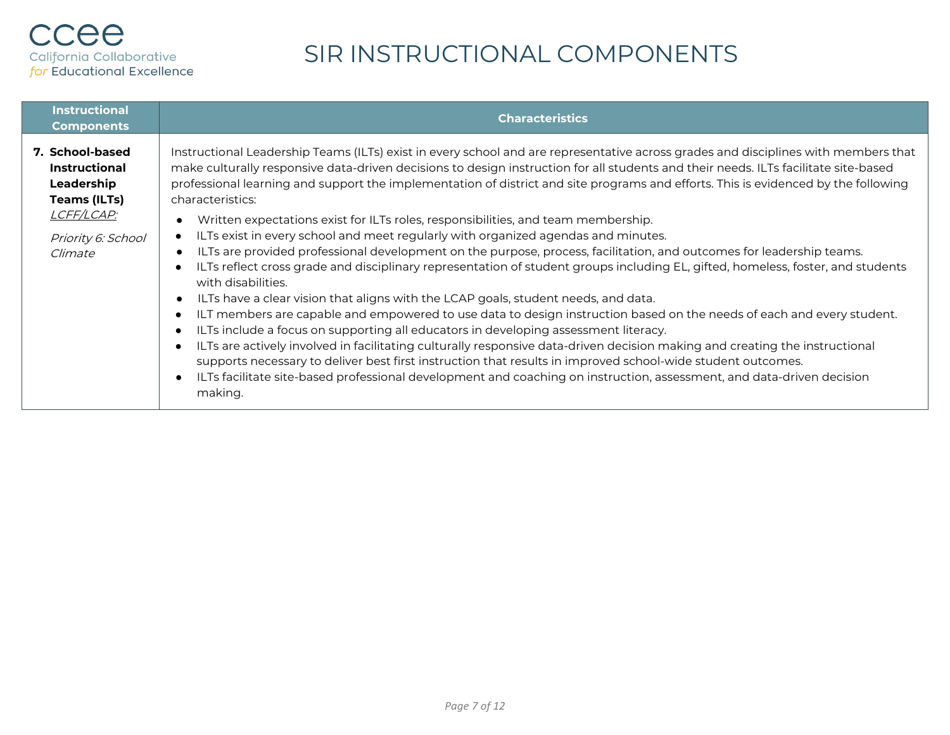| <b>Instructional</b><br><b>Components</b>                                                                                   | <b>Characteristics</b>                                                                                                                                                                                                                                                                                                                                                                                                                                                                                                                                                                                                                                                                                                                                                                                                                                                                                                                                                                                                                                                                                                                                                                                                                                                                                                                                                                                                                                                                                                                                                                                                                               |
|-----------------------------------------------------------------------------------------------------------------------------|------------------------------------------------------------------------------------------------------------------------------------------------------------------------------------------------------------------------------------------------------------------------------------------------------------------------------------------------------------------------------------------------------------------------------------------------------------------------------------------------------------------------------------------------------------------------------------------------------------------------------------------------------------------------------------------------------------------------------------------------------------------------------------------------------------------------------------------------------------------------------------------------------------------------------------------------------------------------------------------------------------------------------------------------------------------------------------------------------------------------------------------------------------------------------------------------------------------------------------------------------------------------------------------------------------------------------------------------------------------------------------------------------------------------------------------------------------------------------------------------------------------------------------------------------------------------------------------------------------------------------------------------------|
| 7. School-based<br><b>Instructional</b><br>Leadership<br><b>Teams (ILTs)</b><br>LCFF/LCAP:<br>Priority 6: School<br>Climate | Instructional Leadership Teams (ILTs) exist in every school and are representative across grades and disciplines with members that<br>make culturally responsive data-driven decisions to design instruction for all students and their needs. ILTs facilitate site-based<br>professional learning and support the implementation of district and site programs and efforts. This is evidenced by the following<br>characteristics:<br>Written expectations exist for ILTs roles, responsibilities, and team membership.<br>ILTs exist in every school and meet regularly with organized agendas and minutes.<br>٠<br>ILTs are provided professional development on the purpose, process, facilitation, and outcomes for leadership teams.<br>ILTs reflect cross grade and disciplinary representation of student groups including EL, gifted, homeless, foster, and students<br>$\bullet$<br>with disabilities.<br>ILTs have a clear vision that aligns with the LCAP goals, student needs, and data.<br>ILT members are capable and empowered to use data to design instruction based on the needs of each and every student.<br>٠<br>ILTs include a focus on supporting all educators in developing assessment literacy.<br>$\bullet$<br>ILTs are actively involved in facilitating culturally responsive data-driven decision making and creating the instructional<br>$\bullet$<br>supports necessary to deliver best first instruction that results in improved school-wide student outcomes.<br>ILTs facilitate site-based professional development and coaching on instruction, assessment, and data-driven decision<br>$\bullet$<br>making. |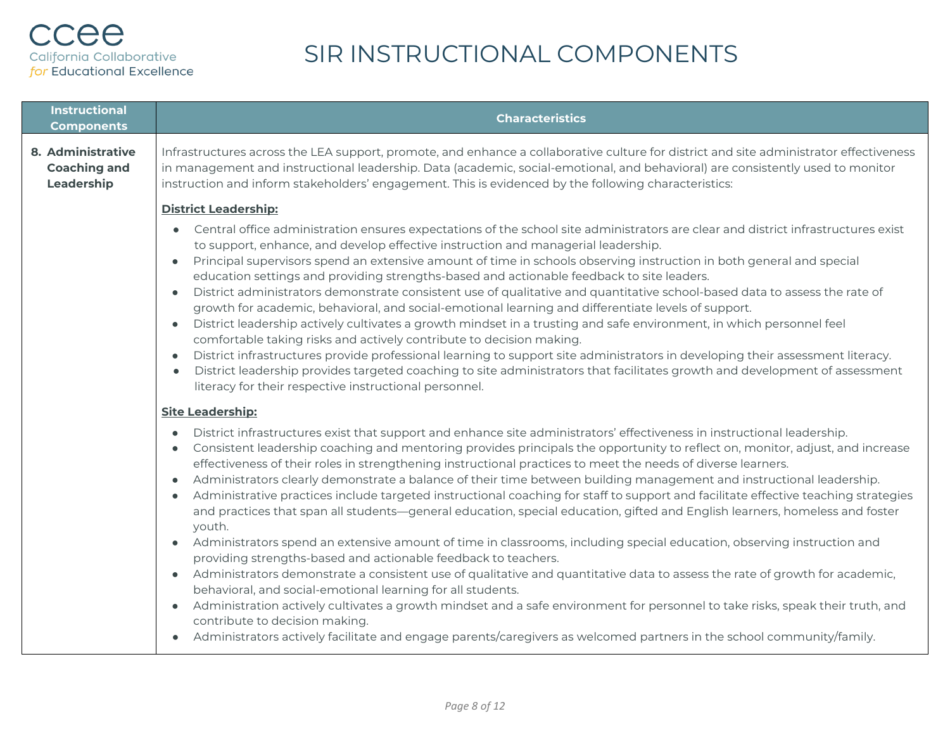| <b>Instructional</b><br><b>Components</b>              | <b>Characteristics</b>                                                                                                                                                                                                                                                                                                                                                                                                                                                                                                                                                                                                                                                                                                                                                                                                                                                                                                                                                                                                                                                                                                                                                                                                                                                                                                                                                                                                                                                                                         |
|--------------------------------------------------------|----------------------------------------------------------------------------------------------------------------------------------------------------------------------------------------------------------------------------------------------------------------------------------------------------------------------------------------------------------------------------------------------------------------------------------------------------------------------------------------------------------------------------------------------------------------------------------------------------------------------------------------------------------------------------------------------------------------------------------------------------------------------------------------------------------------------------------------------------------------------------------------------------------------------------------------------------------------------------------------------------------------------------------------------------------------------------------------------------------------------------------------------------------------------------------------------------------------------------------------------------------------------------------------------------------------------------------------------------------------------------------------------------------------------------------------------------------------------------------------------------------------|
| 8. Administrative<br><b>Coaching and</b><br>Leadership | Infrastructures across the LEA support, promote, and enhance a collaborative culture for district and site administrator effectiveness<br>in management and instructional leadership. Data (academic, social-emotional, and behavioral) are consistently used to monitor<br>instruction and inform stakeholders' engagement. This is evidenced by the following characteristics:                                                                                                                                                                                                                                                                                                                                                                                                                                                                                                                                                                                                                                                                                                                                                                                                                                                                                                                                                                                                                                                                                                                               |
|                                                        | <b>District Leadership:</b><br>Central office administration ensures expectations of the school site administrators are clear and district infrastructures exist<br>$\bullet$<br>to support, enhance, and develop effective instruction and managerial leadership.<br>Principal supervisors spend an extensive amount of time in schools observing instruction in both general and special<br>education settings and providing strengths-based and actionable feedback to site leaders.<br>District administrators demonstrate consistent use of qualitative and quantitative school-based data to assess the rate of<br>growth for academic, behavioral, and social-emotional learning and differentiate levels of support.<br>District leadership actively cultivates a growth mindset in a trusting and safe environment, in which personnel feel<br>$\bullet$<br>comfortable taking risks and actively contribute to decision making.<br>District infrastructures provide professional learning to support site administrators in developing their assessment literacy.<br>$\bullet$<br>District leadership provides targeted coaching to site administrators that facilitates growth and development of assessment<br>literacy for their respective instructional personnel.                                                                                                                                                                                                                              |
|                                                        | <b>Site Leadership:</b><br>District infrastructures exist that support and enhance site administrators' effectiveness in instructional leadership.<br>$\bullet$<br>Consistent leadership coaching and mentoring provides principals the opportunity to reflect on, monitor, adjust, and increase<br>effectiveness of their roles in strengthening instructional practices to meet the needs of diverse learners.<br>Administrators clearly demonstrate a balance of their time between building management and instructional leadership.<br>Administrative practices include targeted instructional coaching for staff to support and facilitate effective teaching strategies<br>and practices that span all students—general education, special education, gifted and English learners, homeless and foster<br>youth.<br>Administrators spend an extensive amount of time in classrooms, including special education, observing instruction and<br>providing strengths-based and actionable feedback to teachers.<br>Administrators demonstrate a consistent use of qualitative and quantitative data to assess the rate of growth for academic,<br>behavioral, and social-emotional learning for all students.<br>Administration actively cultivates a growth mindset and a safe environment for personnel to take risks, speak their truth, and<br>contribute to decision making.<br>Administrators actively facilitate and engage parents/caregivers as welcomed partners in the school community/family. |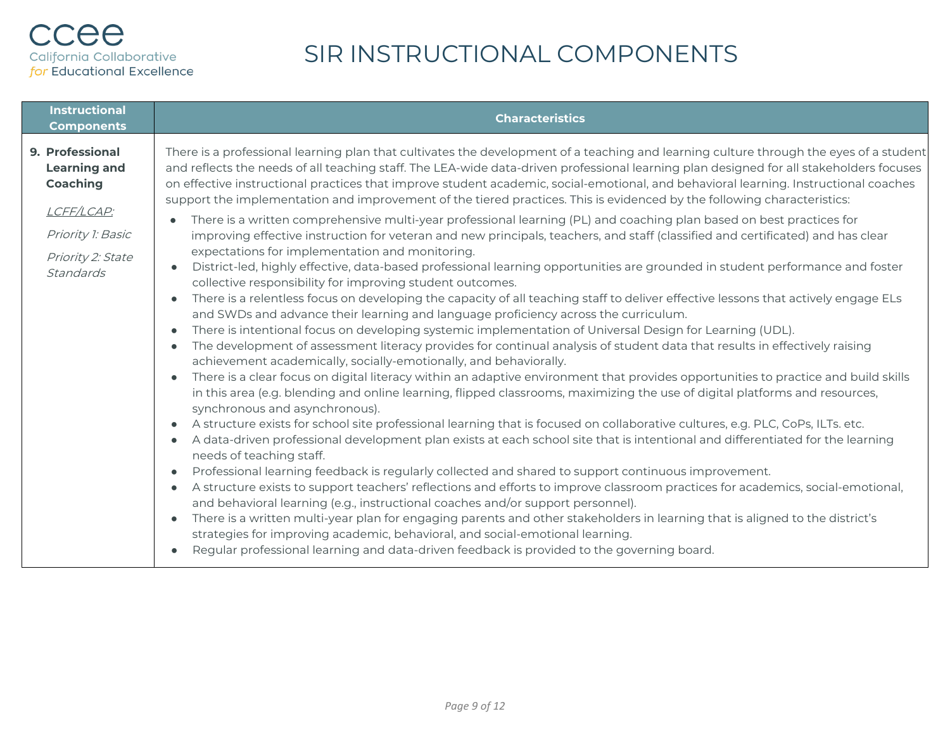#### ccee California Collaborative for Educational Excellence

| <b>Instructional</b><br><b>Components</b>                                                                               | <b>Characteristics</b>                                                                                                                                                                                                                                                                                                                                                                                                                                                                                                                                                                                                                                                                                                                                                                                                                                                                                                                                                                                                                                                                                                                                                                                                                                                                                                                                                                                                                                                                                                                                                                                                                                                                                                                                                                                                                                                                                                                                                                                                                                                                                                                                                                                                                                                                                                                                                                                                                                                                                                                                                                                                                                                                                                                                                                                                                                                                                                                                     |
|-------------------------------------------------------------------------------------------------------------------------|------------------------------------------------------------------------------------------------------------------------------------------------------------------------------------------------------------------------------------------------------------------------------------------------------------------------------------------------------------------------------------------------------------------------------------------------------------------------------------------------------------------------------------------------------------------------------------------------------------------------------------------------------------------------------------------------------------------------------------------------------------------------------------------------------------------------------------------------------------------------------------------------------------------------------------------------------------------------------------------------------------------------------------------------------------------------------------------------------------------------------------------------------------------------------------------------------------------------------------------------------------------------------------------------------------------------------------------------------------------------------------------------------------------------------------------------------------------------------------------------------------------------------------------------------------------------------------------------------------------------------------------------------------------------------------------------------------------------------------------------------------------------------------------------------------------------------------------------------------------------------------------------------------------------------------------------------------------------------------------------------------------------------------------------------------------------------------------------------------------------------------------------------------------------------------------------------------------------------------------------------------------------------------------------------------------------------------------------------------------------------------------------------------------------------------------------------------------------------------------------------------------------------------------------------------------------------------------------------------------------------------------------------------------------------------------------------------------------------------------------------------------------------------------------------------------------------------------------------------------------------------------------------------------------------------------------------------|
| 9. Professional<br><b>Learning and</b><br>Coaching<br>LCFF/LCAP:<br>Priority 1: Basic<br>Priority 2: State<br>Standards | There is a professional learning plan that cultivates the development of a teaching and learning culture through the eyes of a student<br>and reflects the needs of all teaching staff. The LEA-wide data-driven professional learning plan designed for all stakeholders focuses<br>on effective instructional practices that improve student academic, social-emotional, and behavioral learning. Instructional coaches<br>support the implementation and improvement of the tiered practices. This is evidenced by the following characteristics:<br>There is a written comprehensive multi-year professional learning (PL) and coaching plan based on best practices for<br>improving effective instruction for veteran and new principals, teachers, and staff (classified and certificated) and has clear<br>expectations for implementation and monitoring.<br>District-led, highly effective, data-based professional learning opportunities are grounded in student performance and foster<br>collective responsibility for improving student outcomes.<br>There is a relentless focus on developing the capacity of all teaching staff to deliver effective lessons that actively engage ELs<br>$\bullet$<br>and SWDs and advance their learning and language proficiency across the curriculum.<br>There is intentional focus on developing systemic implementation of Universal Design for Learning (UDL).<br>The development of assessment literacy provides for continual analysis of student data that results in effectively raising<br>$\bullet$<br>achievement academically, socially-emotionally, and behaviorally.<br>There is a clear focus on digital literacy within an adaptive environment that provides opportunities to practice and build skills<br>$\bullet$<br>in this area (e.g. blending and online learning, flipped classrooms, maximizing the use of digital platforms and resources,<br>synchronous and asynchronous).<br>A structure exists for school site professional learning that is focused on collaborative cultures, e.g. PLC, CoPs, ILTs. etc.<br>$\bullet$<br>A data-driven professional development plan exists at each school site that is intentional and differentiated for the learning<br>$\bullet$<br>needs of teaching staff.<br>Professional learning feedback is regularly collected and shared to support continuous improvement.<br>$\bullet$<br>A structure exists to support teachers' reflections and efforts to improve classroom practices for academics, social-emotional,<br>and behavioral learning (e.g., instructional coaches and/or support personnel).<br>There is a written multi-year plan for engaging parents and other stakeholders in learning that is aligned to the district's<br>$\bullet$<br>strategies for improving academic, behavioral, and social-emotional learning.<br>Regular professional learning and data-driven feedback is provided to the governing board. |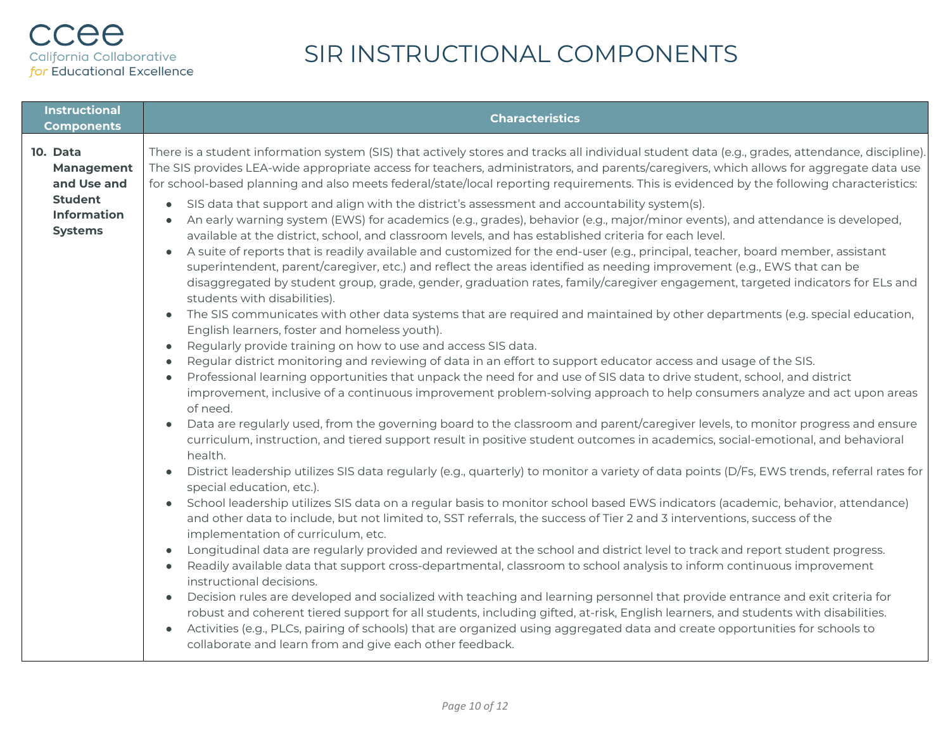| <b>Instructional</b><br><b>Components</b>                                                       | <b>Characteristics</b>                                                                                                                                                                                                                                                                                                                                                                                                                                                                                                                                                                                                                                                                                                                                                                                                                                                                                                                                                                                                                                                                                                                                                                                                                                                                                                                                                                                                                                                                                                                                                                                                                                                                                                                                                                                                                                                                                                                                                                                                                                                                                                                                                                                                                                                                                                                                                                                                                                                                                                                                                                                                                                                                                                                                                                                                                                                                                                                                                                                                                                                                                                                                                                                                                                                                                                                                                                                                                                                                        |
|-------------------------------------------------------------------------------------------------|-----------------------------------------------------------------------------------------------------------------------------------------------------------------------------------------------------------------------------------------------------------------------------------------------------------------------------------------------------------------------------------------------------------------------------------------------------------------------------------------------------------------------------------------------------------------------------------------------------------------------------------------------------------------------------------------------------------------------------------------------------------------------------------------------------------------------------------------------------------------------------------------------------------------------------------------------------------------------------------------------------------------------------------------------------------------------------------------------------------------------------------------------------------------------------------------------------------------------------------------------------------------------------------------------------------------------------------------------------------------------------------------------------------------------------------------------------------------------------------------------------------------------------------------------------------------------------------------------------------------------------------------------------------------------------------------------------------------------------------------------------------------------------------------------------------------------------------------------------------------------------------------------------------------------------------------------------------------------------------------------------------------------------------------------------------------------------------------------------------------------------------------------------------------------------------------------------------------------------------------------------------------------------------------------------------------------------------------------------------------------------------------------------------------------------------------------------------------------------------------------------------------------------------------------------------------------------------------------------------------------------------------------------------------------------------------------------------------------------------------------------------------------------------------------------------------------------------------------------------------------------------------------------------------------------------------------------------------------------------------------------------------------------------------------------------------------------------------------------------------------------------------------------------------------------------------------------------------------------------------------------------------------------------------------------------------------------------------------------------------------------------------------------------------------------------------------------------------------------------------------|
| 10. Data<br>Management<br>and Use and<br><b>Student</b><br><b>Information</b><br><b>Systems</b> | There is a student information system (SIS) that actively stores and tracks all individual student data (e.g., grades, attendance, discipline).<br>The SIS provides LEA-wide appropriate access for teachers, administrators, and parents/caregivers, which allows for aggregate data use<br>for school-based planning and also meets federal/state/local reporting requirements. This is evidenced by the following characteristics:<br>SIS data that support and align with the district's assessment and accountability system(s).<br>$\bullet$<br>An early warning system (EWS) for academics (e.g., grades), behavior (e.g., major/minor events), and attendance is developed,<br>available at the district, school, and classroom levels, and has established criteria for each level.<br>A suite of reports that is readily available and customized for the end-user (e.g., principal, teacher, board member, assistant<br>$\bullet$<br>superintendent, parent/caregiver, etc.) and reflect the areas identified as needing improvement (e.g., EWS that can be<br>disaggregated by student group, grade, gender, graduation rates, family/caregiver engagement, targeted indicators for ELs and<br>students with disabilities).<br>The SIS communicates with other data systems that are required and maintained by other departments (e.g. special education,<br>$\bullet$<br>English learners, foster and homeless youth).<br>Regularly provide training on how to use and access SIS data.<br>$\bullet$<br>Regular district monitoring and reviewing of data in an effort to support educator access and usage of the SIS.<br>$\bullet$<br>Professional learning opportunities that unpack the need for and use of SIS data to drive student, school, and district<br>$\bullet$<br>improvement, inclusive of a continuous improvement problem-solving approach to help consumers analyze and act upon areas<br>of need.<br>Data are regularly used, from the governing board to the classroom and parent/caregiver levels, to monitor progress and ensure<br>curriculum, instruction, and tiered support result in positive student outcomes in academics, social-emotional, and behavioral<br>health.<br>District leadership utilizes SIS data regularly (e.g., quarterly) to monitor a variety of data points (D/Fs, EWS trends, referral rates for<br>special education, etc.).<br>School leadership utilizes SIS data on a regular basis to monitor school based EWS indicators (academic, behavior, attendance)<br>$\bullet$<br>and other data to include, but not limited to, SST referrals, the success of Tier 2 and 3 interventions, success of the<br>implementation of curriculum, etc.<br>Longitudinal data are regularly provided and reviewed at the school and district level to track and report student progress.<br>Readily available data that support cross-departmental, classroom to school analysis to inform continuous improvement<br>$\bullet$<br>instructional decisions.<br>Decision rules are developed and socialized with teaching and learning personnel that provide entrance and exit criteria for<br>$\bullet$<br>robust and coherent tiered support for all students, including gifted, at-risk, English learners, and students with disabilities.<br>Activities (e.g., PLCs, pairing of schools) that are organized using aggregated data and create opportunities for schools to<br>collaborate and learn from and give each other feedback. |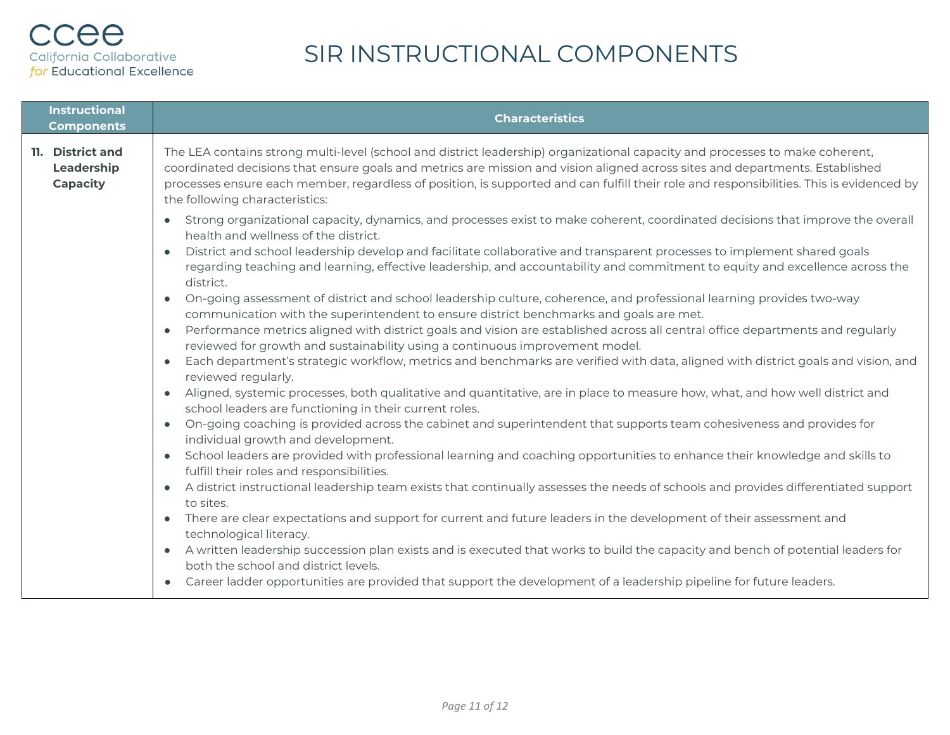| <b>Instructional</b><br><b>Components</b>         | <b>Characteristics</b>                                                                                                                                                                                                                                                                                                                                                                                                                         |
|---------------------------------------------------|------------------------------------------------------------------------------------------------------------------------------------------------------------------------------------------------------------------------------------------------------------------------------------------------------------------------------------------------------------------------------------------------------------------------------------------------|
| 11. District and<br>Leadership<br><b>Capacity</b> | The LEA contains strong multi-level (school and district leadership) organizational capacity and processes to make coherent,<br>coordinated decisions that ensure goals and metrics are mission and vision aligned across sites and departments. Established<br>processes ensure each member, regardless of position, is supported and can fulfill their role and responsibilities. This is evidenced by<br>the following characteristics:     |
|                                                   | Strong organizational capacity, dynamics, and processes exist to make coherent, coordinated decisions that improve the overall<br>health and wellness of the district.<br>District and school leadership develop and facilitate collaborative and transparent processes to implement shared goals<br>regarding teaching and learning, effective leadership, and accountability and commitment to equity and excellence across the<br>district. |
|                                                   | On-going assessment of district and school leadership culture, coherence, and professional learning provides two-way<br>$\bullet$<br>communication with the superintendent to ensure district benchmarks and goals are met.                                                                                                                                                                                                                    |
|                                                   | • Performance metrics aligned with district goals and vision are established across all central office departments and regularly<br>reviewed for growth and sustainability using a continuous improvement model.                                                                                                                                                                                                                               |
|                                                   | Each department's strategic workflow, metrics and benchmarks are verified with data, aligned with district goals and vision, and<br>reviewed regularly.                                                                                                                                                                                                                                                                                        |
|                                                   | Aligned, systemic processes, both qualitative and quantitative, are in place to measure how, what, and how well district and<br>school leaders are functioning in their current roles.                                                                                                                                                                                                                                                         |
|                                                   | • On-going coaching is provided across the cabinet and superintendent that supports team cohesiveness and provides for<br>individual growth and development.                                                                                                                                                                                                                                                                                   |
|                                                   | • School leaders are provided with professional learning and coaching opportunities to enhance their knowledge and skills to<br>fulfill their roles and responsibilities.                                                                                                                                                                                                                                                                      |
|                                                   | • A district instructional leadership team exists that continually assesses the needs of schools and provides differentiated support<br>to sites.                                                                                                                                                                                                                                                                                              |
|                                                   | • There are clear expectations and support for current and future leaders in the development of their assessment and<br>technological literacy.                                                                                                                                                                                                                                                                                                |
|                                                   | • A written leadership succession plan exists and is executed that works to build the capacity and bench of potential leaders for<br>both the school and district levels.                                                                                                                                                                                                                                                                      |
|                                                   | Career ladder opportunities are provided that support the development of a leadership pipeline for future leaders.                                                                                                                                                                                                                                                                                                                             |